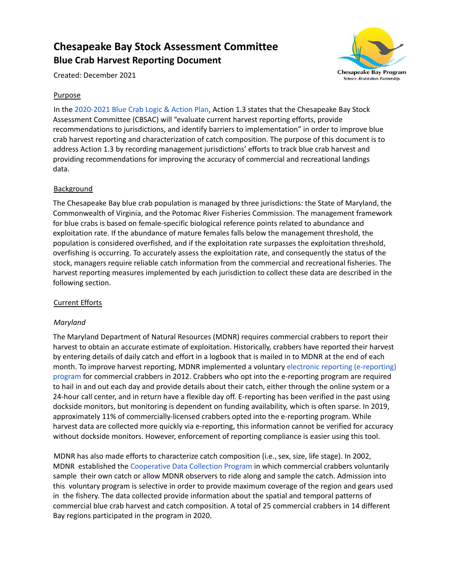# **Chesapeake Bay Stock Assessment Committee Blue Crab Harvest Reporting Document**



Created: December 2021

# **Purpose**

In the [2020-2021](https://www.chesapeakebay.net/documents/22029/2020-2021_blue_crab_logic_and_action_plan_.pdf) Blue Crab Logic & Action Plan, Action 1.3 states that the Chesapeake Bay Stock Assessment Committee (CBSAC) will "evaluate current harvest reporting efforts, provide recommendations to jurisdictions, and identify barriers to implementation" in order to improve blue crab harvest reporting and characterization of catch composition. The purpose of this document is to address Action 1.3 by recording management jurisdictions' efforts to track blue crab harvest and providing recommendations for improving the accuracy of commercial and recreational landings data.

## **Background**

The Chesapeake Bay blue crab population is managed by three jurisdictions: the State of Maryland, the Commonwealth of Virginia, and the Potomac River Fisheries Commission. The management framework for blue crabs is based on female-specific biological reference points related to abundance and exploitation rate. If the abundance of mature females falls below the management threshold, the population is considered overfished, and if the exploitation rate surpasses the exploitation threshold, overfishing is occurring. To accurately assess the exploitation rate, and consequently the status of the stock, managers require reliable catch information from the commercial and recreational fisheries. The harvest reporting measures implemented by each jurisdiction to collect these data are described in the following section.

#### Current Efforts

#### *Maryland*

The Maryland Department of Natural Resources (MDNR) requires commercial crabbers to report their harvest to obtain an accurate estimate of exploitation. Historically, crabbers have reported their harvest by entering details of daily catch and effort in a logbook that is mailed in to MDNR at the end of each month. To improve harvest reporting, MDNR implemented a voluntary electronic reporting [\(e-reporting\)](https://dnr.maryland.gov/fisheries/pages/e-reporting/index.aspx) [program](https://dnr.maryland.gov/fisheries/pages/e-reporting/index.aspx) for commercial crabbers in 2012. Crabbers who opt into the e-reporting program are required to hail in and out each day and provide details about their catch, either through the online system or a 24-hour call center, and in return have a flexible day off. E-reporting has been verified in the past using dockside monitors, but monitoring is dependent on funding availability, which is often sparse. In 2019, approximately 11% of commercially-licensed crabbers opted into the e-reporting program. While harvest data are collected more quickly via e-reporting, this information cannot be verified for accuracy without dockside monitors. However, enforcement of reporting compliance is easier using this tool.

MDNR has also made efforts to characterize catch composition (i.e., sex, size, life stage). In 2002, MDNR established the [Cooperative](https://dnr.maryland.gov/fisheries/pages/blue-crab/coop_data_collection.aspx) Data Collection Program in which commercial crabbers voluntarily sample their own catch or allow MDNR observers to ride along and sample the catch. Admission into this voluntary program is selective in order to provide maximum coverage of the region and gears used in the fishery. The data collected provide information about the spatial and temporal patterns of commercial blue crab harvest and catch composition. A total of 25 commercial crabbers in 14 different Bay regions participated in the program in 2020.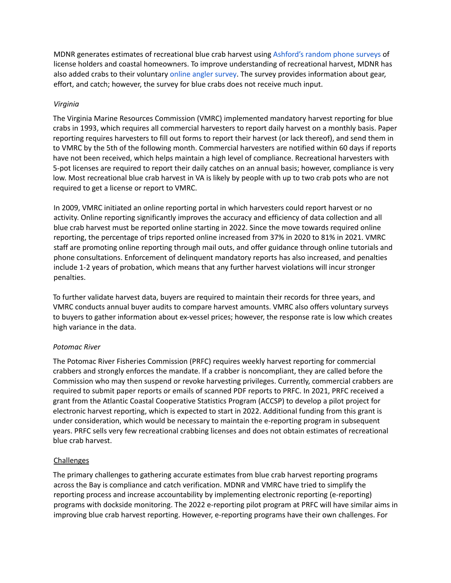MDNR generates estimates of recreational blue crab harvest using [Ashford's](https://afspubs.onlinelibrary.wiley.com/doi/epdf/10.1577/T08-142.1) random phone surveys of license holders and coastal homeowners. To improve understanding of recreational harvest, MDNR has also added crabs to their voluntary online angler [survey](https://dnr.maryland.gov/fisheries/pages/survey/index.aspx). The survey provides information about gear, effort, and catch; however, the survey for blue crabs does not receive much input.

### *Virginia*

The Virginia Marine Resources Commission (VMRC) implemented mandatory harvest reporting for blue crabs in 1993, which requires all commercial harvesters to report daily harvest on a monthly basis. Paper reporting requires harvesters to fill out forms to report their harvest (or lack thereof), and send them in to VMRC by the 5th of the following month. Commercial harvesters are notified within 60 days if reports have not been received, which helps maintain a high level of compliance. Recreational harvesters with 5-pot licenses are required to report their daily catches on an annual basis; however, compliance is very low. Most recreational blue crab harvest in VA is likely by people with up to two crab pots who are not required to get a license or report to VMRC.

In 2009, VMRC initiated an online reporting portal in which harvesters could report harvest or no activity. Online reporting significantly improves the accuracy and efficiency of data collection and all blue crab harvest must be reported online starting in 2022. Since the move towards required online reporting, the percentage of trips reported online increased from 37% in 2020 to 81% in 2021. VMRC staff are promoting online reporting through mail outs, and offer guidance through online tutorials and phone consultations. Enforcement of delinquent mandatory reports has also increased, and penalties include 1-2 years of probation, which means that any further harvest violations will incur stronger penalties.

To further validate harvest data, buyers are required to maintain their records for three years, and VMRC conducts annual buyer audits to compare harvest amounts. VMRC also offers voluntary surveys to buyers to gather information about ex-vessel prices; however, the response rate is low which creates high variance in the data.

#### *Potomac River*

The Potomac River Fisheries Commission (PRFC) requires weekly harvest reporting for commercial crabbers and strongly enforces the mandate. If a crabber is noncompliant, they are called before the Commission who may then suspend or revoke harvesting privileges. Currently, commercial crabbers are required to submit paper reports or emails of scanned PDF reports to PRFC. In 2021, PRFC received a grant from the Atlantic Coastal Cooperative Statistics Program (ACCSP) to develop a pilot project for electronic harvest reporting, which is expected to start in 2022. Additional funding from this grant is under consideration, which would be necessary to maintain the e-reporting program in subsequent years. PRFC sells very few recreational crabbing licenses and does not obtain estimates of recreational blue crab harvest.

#### Challenges

The primary challenges to gathering accurate estimates from blue crab harvest reporting programs across the Bay is compliance and catch verification. MDNR and VMRC have tried to simplify the reporting process and increase accountability by implementing electronic reporting (e-reporting) programs with dockside monitoring. The 2022 e-reporting pilot program at PRFC will have similar aims in improving blue crab harvest reporting. However, e-reporting programs have their own challenges. For